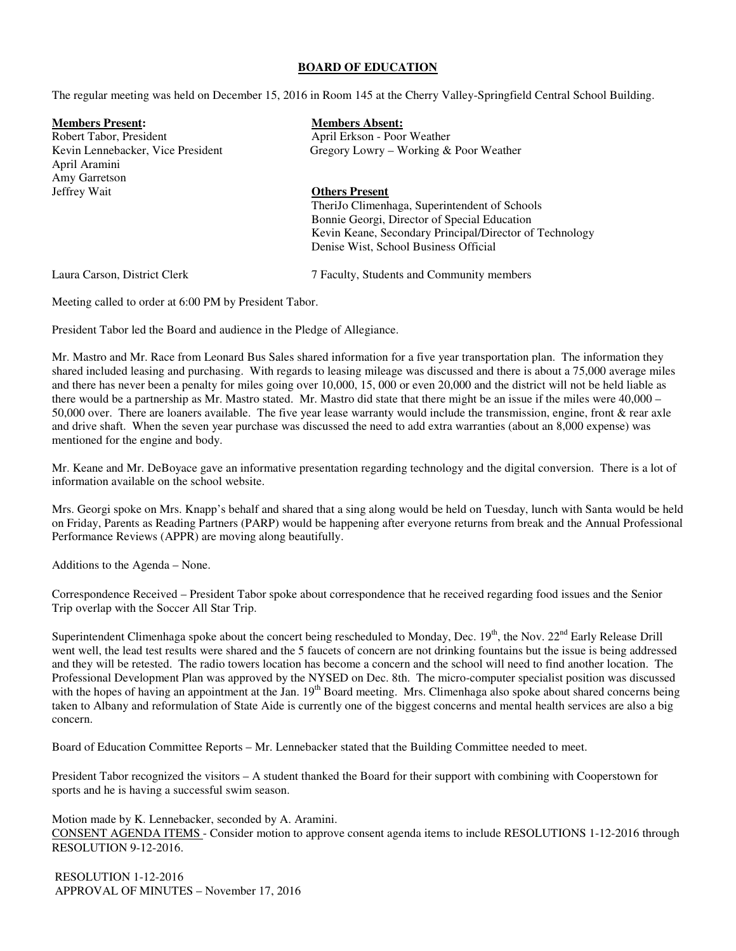#### **BOARD OF EDUCATION**

The regular meeting was held on December 15, 2016 in Room 145 at the Cherry Valley-Springfield Central School Building.

**Members Present: Members Absent:** Robert Tabor, President April Erkson - Poor Weather<br>
Kevin Lennebacker, Vice President April Erkson - Poor Weather<br>
Gregory Lowry - Working & Gregory Lowry – Working & Poor Weather April Aramini Amy Garretson<br>Jeffrey Wait **Others Present**  TheriJo Climenhaga, Superintendent of Schools Bonnie Georgi, Director of Special Education Kevin Keane, Secondary Principal/Director of Technology Denise Wist, School Business Official Laura Carson, District Clerk 7 Faculty, Students and Community members

Meeting called to order at 6:00 PM by President Tabor.

President Tabor led the Board and audience in the Pledge of Allegiance.

Mr. Mastro and Mr. Race from Leonard Bus Sales shared information for a five year transportation plan. The information they shared included leasing and purchasing. With regards to leasing mileage was discussed and there is about a 75,000 average miles and there has never been a penalty for miles going over 10,000, 15, 000 or even 20,000 and the district will not be held liable as there would be a partnership as Mr. Mastro stated. Mr. Mastro did state that there might be an issue if the miles were 40,000 – 50,000 over. There are loaners available. The five year lease warranty would include the transmission, engine, front & rear axle and drive shaft. When the seven year purchase was discussed the need to add extra warranties (about an 8,000 expense) was mentioned for the engine and body.

Mr. Keane and Mr. DeBoyace gave an informative presentation regarding technology and the digital conversion. There is a lot of information available on the school website.

Mrs. Georgi spoke on Mrs. Knapp's behalf and shared that a sing along would be held on Tuesday, lunch with Santa would be held on Friday, Parents as Reading Partners (PARP) would be happening after everyone returns from break and the Annual Professional Performance Reviews (APPR) are moving along beautifully.

Additions to the Agenda – None.

Correspondence Received – President Tabor spoke about correspondence that he received regarding food issues and the Senior Trip overlap with the Soccer All Star Trip.

Superintendent Climenhaga spoke about the concert being rescheduled to Monday, Dec. 19<sup>th</sup>, the Nov. 22<sup>nd</sup> Early Release Drill went well, the lead test results were shared and the 5 faucets of concern are not drinking fountains but the issue is being addressed and they will be retested. The radio towers location has become a concern and the school will need to find another location. The Professional Development Plan was approved by the NYSED on Dec. 8th. The micro-computer specialist position was discussed with the hopes of having an appointment at the Jan. 19<sup>th</sup> Board meeting. Mrs. Climenhaga also spoke about shared concerns being taken to Albany and reformulation of State Aide is currently one of the biggest concerns and mental health services are also a big concern.

Board of Education Committee Reports – Mr. Lennebacker stated that the Building Committee needed to meet.

President Tabor recognized the visitors – A student thanked the Board for their support with combining with Cooperstown for sports and he is having a successful swim season.

Motion made by K. Lennebacker, seconded by A. Aramini. CONSENT AGENDA ITEMS - Consider motion to approve consent agenda items to include RESOLUTIONS 1-12-2016 through RESOLUTION 9-12-2016.

 RESOLUTION 1-12-2016 APPROVAL OF MINUTES – November 17, 2016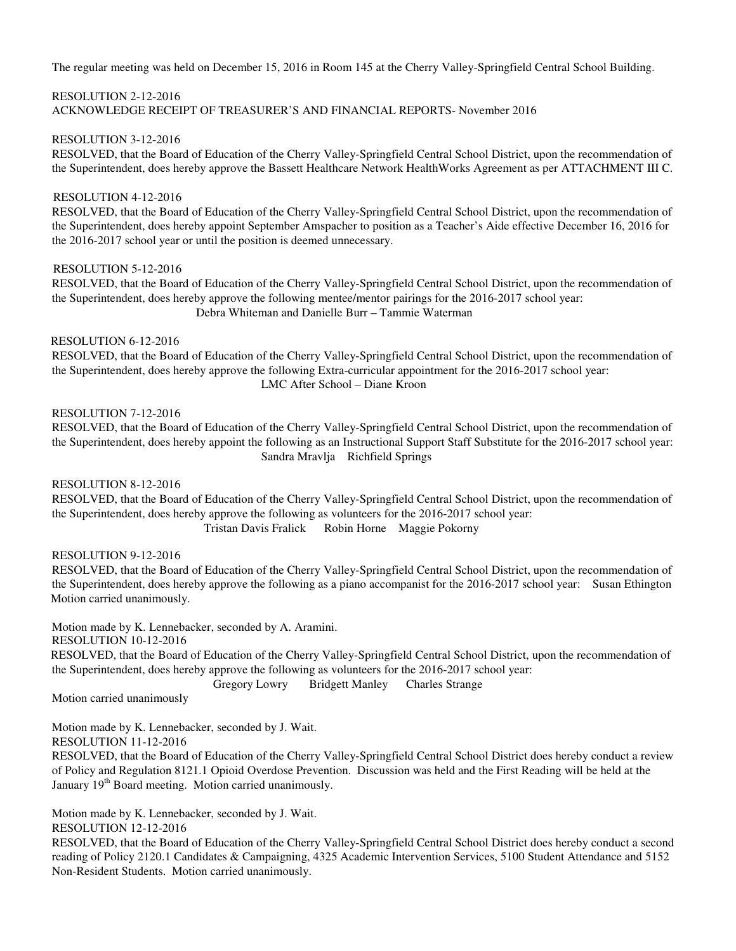The regular meeting was held on December 15, 2016 in Room 145 at the Cherry Valley-Springfield Central School Building.

### RESOLUTION 2-12-2016 ACKNOWLEDGE RECEIPT OF TREASURER'S AND FINANCIAL REPORTS- November 2016

# RESOLUTION 3-12-2016

RESOLVED, that the Board of Education of the Cherry Valley-Springfield Central School District, upon the recommendation of the Superintendent, does hereby approve the Bassett Healthcare Network HealthWorks Agreement as per ATTACHMENT III C.

# RESOLUTION 4-12-2016

RESOLVED, that the Board of Education of the Cherry Valley-Springfield Central School District, upon the recommendation of the Superintendent, does hereby appoint September Amspacher to position as a Teacher's Aide effective December 16, 2016 for the 2016-2017 school year or until the position is deemed unnecessary.

### RESOLUTION 5-12-2016

RESOLVED, that the Board of Education of the Cherry Valley-Springfield Central School District, upon the recommendation of the Superintendent, does hereby approve the following mentee/mentor pairings for the 2016-2017 school year: Debra Whiteman and Danielle Burr – Tammie Waterman

### RESOLUTION 6-12-2016

 RESOLVED, that the Board of Education of the Cherry Valley-Springfield Central School District, upon the recommendation of the Superintendent, does hereby approve the following Extra-curricular appointment for the 2016-2017 school year: LMC After School – Diane Kroon

### RESOLUTION 7-12-2016

 RESOLVED, that the Board of Education of the Cherry Valley-Springfield Central School District, upon the recommendation of the Superintendent, does hereby appoint the following as an Instructional Support Staff Substitute for the 2016-2017 school year: Sandra Mravlja Richfield Springs

### RESOLUTION 8-12-2016

 RESOLVED, that the Board of Education of the Cherry Valley-Springfield Central School District, upon the recommendation of the Superintendent, does hereby approve the following as volunteers for the 2016-2017 school year: Tristan Davis Fralick Robin Horne Maggie Pokorny

### RESOLUTION 9-12-2016

 RESOLVED, that the Board of Education of the Cherry Valley-Springfield Central School District, upon the recommendation of the Superintendent, does hereby approve the following as a piano accompanist for the 2016-2017 school year: Susan Ethington Motion carried unanimously.

Motion made by K. Lennebacker, seconded by A. Aramini. RESOLUTION 10-12-2016 RESOLVED, that the Board of Education of the Cherry Valley-Springfield Central School District, upon the recommendation of the Superintendent, does hereby approve the following as volunteers for the 2016-2017 school year: Gregory Lowry Bridgett Manley Charles Strange

Motion carried unanimously

Motion made by K. Lennebacker, seconded by J. Wait. RESOLUTION 11-12-2016

RESOLVED, that the Board of Education of the Cherry Valley-Springfield Central School District does hereby conduct a review of Policy and Regulation 8121.1 Opioid Overdose Prevention. Discussion was held and the First Reading will be held at the January 19<sup>th</sup> Board meeting. Motion carried unanimously.

Motion made by K. Lennebacker, seconded by J. Wait.

RESOLUTION 12-12-2016

RESOLVED, that the Board of Education of the Cherry Valley-Springfield Central School District does hereby conduct a second reading of Policy 2120.1 Candidates & Campaigning, 4325 Academic Intervention Services, 5100 Student Attendance and 5152 Non-Resident Students. Motion carried unanimously.